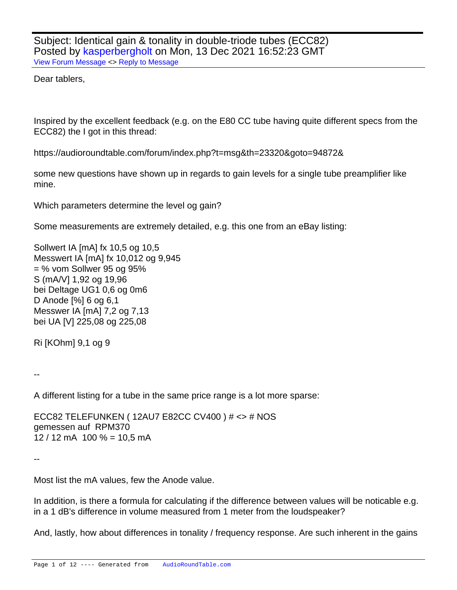Subject: Identical gain & tonality in double-triode tubes (ECC82) Posted by [kasperbergholt](https://audioroundtable.com/forum/index.php?t=usrinfo&id=8961) on Mon, 13 Dec 2021 16:52:23 GMT [View Forum Message](https://audioroundtable.com/forum/index.php?t=rview&th=23327&goto=94909#msg_94909) <> [Reply to Message](https://audioroundtable.com/forum/index.php?t=post&reply_to=94909)

Dear tablers,

Inspired by the excellent feedback (e.g. on the E80 CC tube having quite different specs from the ECC82) the I got in this thread:

https://audioroundtable.com/forum/index.php?t=msg&th=23320&goto=94872&

some new questions have shown up in regards to gain levels for a single tube preamplifier like mine.

Which parameters determine the level og gain?

Some measurements are extremely detailed, e.g. this one from an eBay listing:

Sollwert IA [mA] fx 10,5 og 10,5 Messwert IA [mA] fx 10,012 og 9,945 = % vom Sollwer 95 og 95% S (mA/V] 1,92 og 19,96 bei Deltage UG1 0,6 og 0m6 D Anode [%] 6 og 6,1 Messwer IA [mA] 7,2 og 7,13 bei UA [V] 225,08 og 225,08

Ri [KOhm] 9,1 og 9

--

A different listing for a tube in the same price range is a lot more sparse:

ECC82 TELEFUNKEN ( 12AU7 E82CC CV400 ) # <> # NOS gemessen auf RPM370  $12 / 12$  mA  $100 \% = 10.5$  mA

--

Most list the mA values, few the Anode value.

In addition, is there a formula for calculating if the difference between values will be noticable e.g. in a 1 dB's difference in volume measured from 1 meter from the loudspeaker?

And, lastly, how about differences in tonality / frequency response. Are such inherent in the gains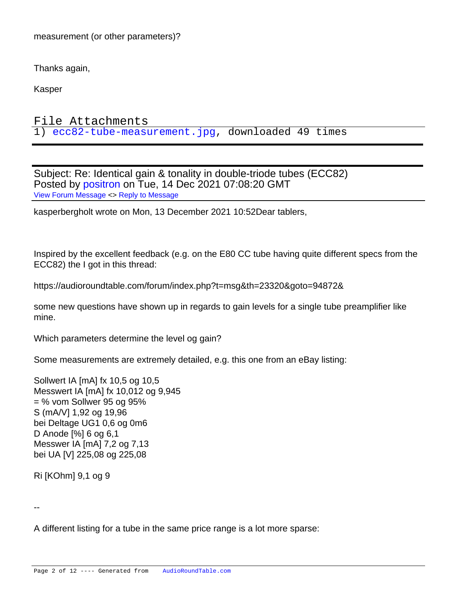measurement (or other parameters)?

Thanks again,

Kasper

File Attachments 1) [ecc82-tube-measurement.jpg,](https://audioroundtable.com/forum/index.php?t=getfile&id=2918) downloaded 49 times

Subject: Re: Identical gain & tonality in double-triode tubes (ECC82) Posted by [positron](https://audioroundtable.com/forum/index.php?t=usrinfo&id=8732) on Tue, 14 Dec 2021 07:08:20 GMT [View Forum Message](https://audioroundtable.com/forum/index.php?t=rview&th=23327&goto=94910#msg_94910) <> [Reply to Message](https://audioroundtable.com/forum/index.php?t=post&reply_to=94910)

kasperbergholt wrote on Mon, 13 December 2021 10:52Dear tablers,

Inspired by the excellent feedback (e.g. on the E80 CC tube having quite different specs from the ECC82) the I got in this thread:

https://audioroundtable.com/forum/index.php?t=msg&th=23320&goto=94872&

some new questions have shown up in regards to gain levels for a single tube preamplifier like mine.

Which parameters determine the level og gain?

Some measurements are extremely detailed, e.g. this one from an eBay listing:

Sollwert IA [mA] fx 10,5 og 10,5 Messwert IA [mA] fx 10,012 og 9,945 = % vom Sollwer 95 og 95% S (mA/V] 1,92 og 19,96 bei Deltage UG1 0,6 og 0m6 D Anode [%] 6 og 6,1 Messwer IA [mA] 7,2 og 7,13 bei UA [V] 225,08 og 225,08

Ri [KOhm] 9,1 og 9

--

A different listing for a tube in the same price range is a lot more sparse: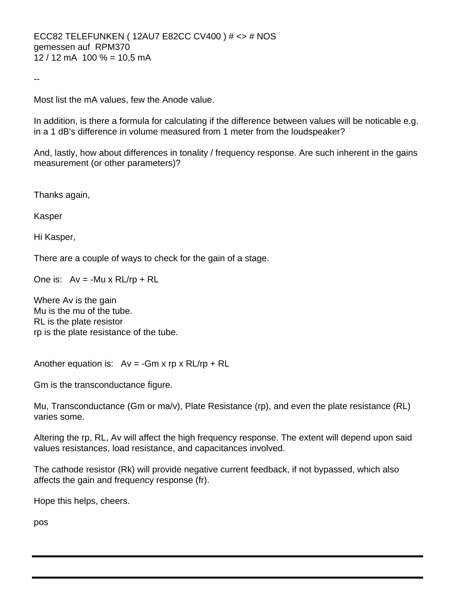Most list the mA values, few the Anode value.

In addition, is there a formula for calculating if the difference between values will be noticable e.g. in a 1 dB's difference in volume measured from 1 meter from the loudspeaker?

And, lastly, how about differences in tonality / frequency response. Are such inherent in the gains measurement (or other parameters)?

Thanks again,

Kasper

--

Hi Kasper,

There are a couple of ways to check for the gain of a stage.

One is:  $Av = -Mu \times RL/rp + RL$ 

Where Av is the gain Mu is the mu of the tube. RL is the plate resistor rp is the plate resistance of the tube.

Another equation is:  $Av = -Gm \times rp \times RL/rp + RL$ 

Gm is the transconductance figure.

Mu, Transconductance (Gm or ma/v), Plate Resistance (rp), and even the plate resistance (RL) varies some.

Altering the rp, RL, Av will affect the high frequency response. The extent will depend upon said values resistances, load resistance, and capacitances involved.

The cathode resistor (Rk) will provide negative current feedback, if not bypassed, which also affects the gain and frequency response (fr).

Hope this helps, cheers.

pos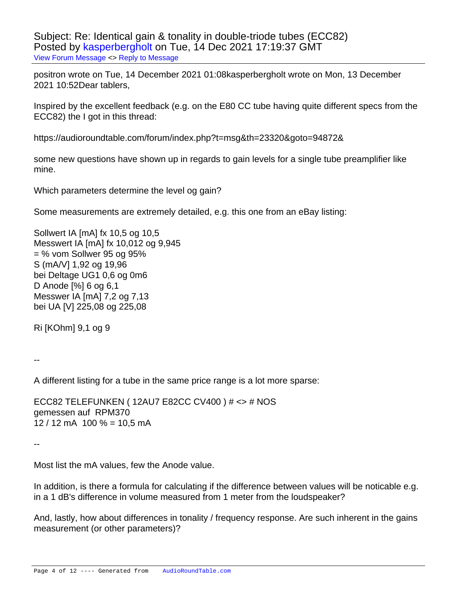Subject: Re: Identical gain & tonality in double-triode tubes (ECC82) Posted by [kasperbergholt](https://audioroundtable.com/forum/index.php?t=usrinfo&id=8961) on Tue, 14 Dec 2021 17:19:37 GMT [View Forum Message](https://audioroundtable.com/forum/index.php?t=rview&th=23327&goto=94916#msg_94916) <> [Reply to Message](https://audioroundtable.com/forum/index.php?t=post&reply_to=94916)

positron wrote on Tue, 14 December 2021 01:08kasperbergholt wrote on Mon, 13 December 2021 10:52Dear tablers,

Inspired by the excellent feedback (e.g. on the E80 CC tube having quite different specs from the ECC82) the I got in this thread:

https://audioroundtable.com/forum/index.php?t=msg&th=23320&goto=94872&

some new questions have shown up in regards to gain levels for a single tube preamplifier like mine.

Which parameters determine the level og gain?

Some measurements are extremely detailed, e.g. this one from an eBay listing:

Sollwert IA [mA] fx 10,5 og 10,5 Messwert IA [mA] fx 10,012 og 9,945 = % vom Sollwer 95 og 95% S (mA/V] 1,92 og 19,96 bei Deltage UG1 0,6 og 0m6 D Anode [%] 6 og 6,1 Messwer IA [mA] 7,2 og 7,13 bei UA [V] 225,08 og 225,08

Ri [KOhm] 9,1 og 9

--

A different listing for a tube in the same price range is a lot more sparse:

ECC82 TELEFUNKEN ( 12AU7 E82CC CV400 ) # <> # NOS gemessen auf RPM370  $12 / 12$  mA  $100 \% = 10.5$  mA

--

Most list the mA values, few the Anode value.

In addition, is there a formula for calculating if the difference between values will be noticable e.g. in a 1 dB's difference in volume measured from 1 meter from the loudspeaker?

And, lastly, how about differences in tonality / frequency response. Are such inherent in the gains measurement (or other parameters)?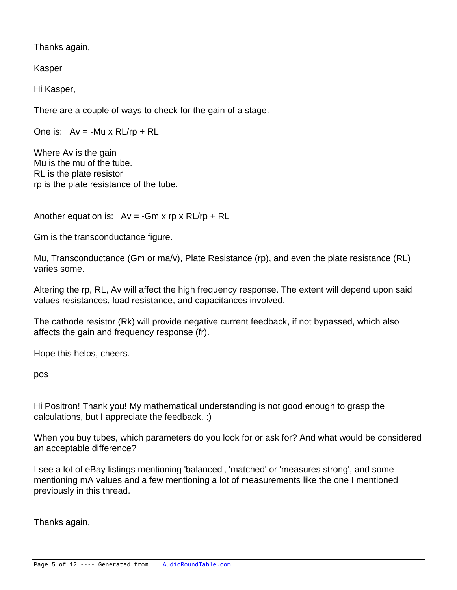Thanks again,

Kasper

Hi Kasper,

There are a couple of ways to check for the gain of a stage.

One is:  $Av = -Mu \times R L/rp + R L$ 

Where Av is the gain Mu is the mu of the tube. RL is the plate resistor rp is the plate resistance of the tube.

Another equation is:  $Av = -Gm \times r p \times R L/r p + R L$ 

Gm is the transconductance figure.

Mu, Transconductance (Gm or ma/v), Plate Resistance (rp), and even the plate resistance (RL) varies some.

Altering the rp, RL, Av will affect the high frequency response. The extent will depend upon said values resistances, load resistance, and capacitances involved.

The cathode resistor (Rk) will provide negative current feedback, if not bypassed, which also affects the gain and frequency response (fr).

Hope this helps, cheers.

pos

Hi Positron! Thank you! My mathematical understanding is not good enough to grasp the calculations, but I appreciate the feedback. :)

When you buy tubes, which parameters do you look for or ask for? And what would be considered an acceptable difference?

I see a lot of eBay listings mentioning 'balanced', 'matched' or 'measures strong', and some mentioning mA values and a few mentioning a lot of measurements like the one I mentioned previously in this thread.

Thanks again,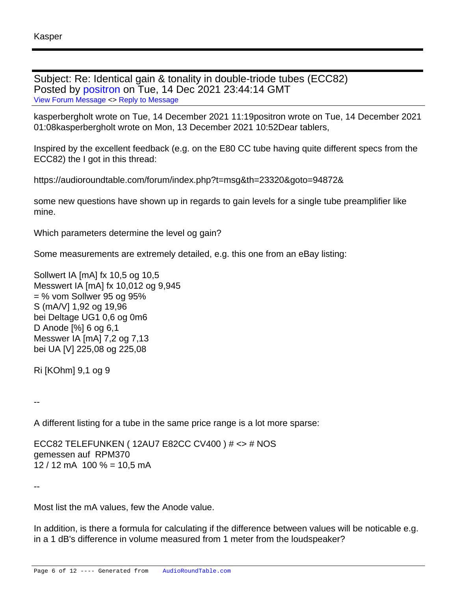Subject: Re: Identical gain & tonality in double-triode tubes (ECC82) Posted by [positron](https://audioroundtable.com/forum/index.php?t=usrinfo&id=8732) on Tue, 14 Dec 2021 23:44:14 GMT [View Forum Message](https://audioroundtable.com/forum/index.php?t=rview&th=23327&goto=94917#msg_94917) <> [Reply to Message](https://audioroundtable.com/forum/index.php?t=post&reply_to=94917)

kasperbergholt wrote on Tue, 14 December 2021 11:19positron wrote on Tue, 14 December 2021 01:08kasperbergholt wrote on Mon, 13 December 2021 10:52Dear tablers,

Inspired by the excellent feedback (e.g. on the E80 CC tube having quite different specs from the ECC82) the I got in this thread:

https://audioroundtable.com/forum/index.php?t=msg&th=23320&goto=94872&

some new questions have shown up in regards to gain levels for a single tube preamplifier like mine.

Which parameters determine the level og gain?

Some measurements are extremely detailed, e.g. this one from an eBay listing:

Sollwert IA [mA] fx 10,5 og 10,5 Messwert IA [mA] fx 10,012 og 9,945 = % vom Sollwer 95 og 95% S (mA/V] 1,92 og 19,96 bei Deltage UG1 0,6 og 0m6 D Anode [%] 6 og 6,1 Messwer IA [mA] 7,2 og 7,13 bei UA [V] 225,08 og 225,08

Ri [KOhm] 9,1 og 9

--

A different listing for a tube in the same price range is a lot more sparse:

ECC82 TELEFUNKEN ( 12AU7 E82CC CV400 ) # <> # NOS gemessen auf RPM370  $12 / 12$  mA  $100 \% = 10.5$  mA

--

Most list the mA values, few the Anode value.

In addition, is there a formula for calculating if the difference between values will be noticable e.g. in a 1 dB's difference in volume measured from 1 meter from the loudspeaker?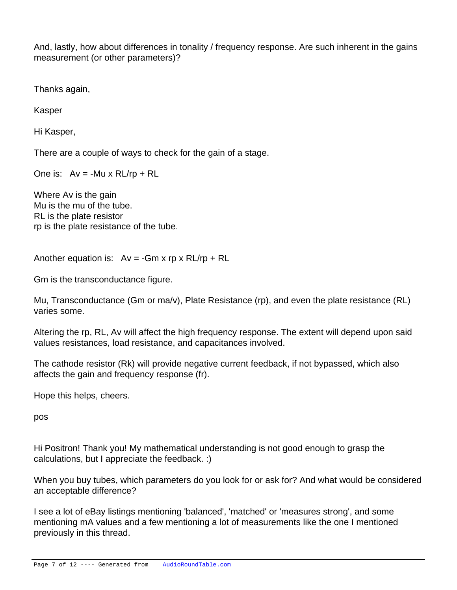And, lastly, how about differences in tonality / frequency response. Are such inherent in the gains measurement (or other parameters)?

Thanks again,

Kasper

Hi Kasper,

There are a couple of ways to check for the gain of a stage.

One is:  $Av = -Mu \times R L/rp + R L$ 

Where Av is the gain Mu is the mu of the tube. RL is the plate resistor rp is the plate resistance of the tube.

Another equation is:  $Av = -Gm \times r p \times R L/r p + R L$ 

Gm is the transconductance figure.

Mu, Transconductance (Gm or ma/v), Plate Resistance (rp), and even the plate resistance (RL) varies some.

Altering the rp, RL, Av will affect the high frequency response. The extent will depend upon said values resistances, load resistance, and capacitances involved.

The cathode resistor (Rk) will provide negative current feedback, if not bypassed, which also affects the gain and frequency response (fr).

Hope this helps, cheers.

pos

Hi Positron! Thank you! My mathematical understanding is not good enough to grasp the calculations, but I appreciate the feedback. :)

When you buy tubes, which parameters do you look for or ask for? And what would be considered an acceptable difference?

I see a lot of eBay listings mentioning 'balanced', 'matched' or 'measures strong', and some mentioning mA values and a few mentioning a lot of measurements like the one I mentioned previously in this thread.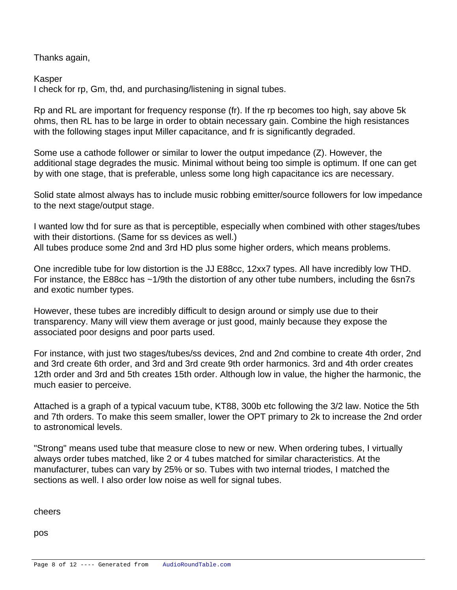Thanks again,

Kasper

I check for rp, Gm, thd, and purchasing/listening in signal tubes.

Rp and RL are important for frequency response (fr). If the rp becomes too high, say above 5k ohms, then RL has to be large in order to obtain necessary gain. Combine the high resistances with the following stages input Miller capacitance, and fr is significantly degraded.

Some use a cathode follower or similar to lower the output impedance (Z). However, the additional stage degrades the music. Minimal without being too simple is optimum. If one can get by with one stage, that is preferable, unless some long high capacitance ics are necessary.

Solid state almost always has to include music robbing emitter/source followers for low impedance to the next stage/output stage.

I wanted low thd for sure as that is perceptible, especially when combined with other stages/tubes with their distortions. (Same for ss devices as well.) All tubes produce some 2nd and 3rd HD plus some higher orders, which means problems.

One incredible tube for low distortion is the JJ E88cc, 12xx7 types. All have incredibly low THD. For instance, the E88cc has ~1/9th the distortion of any other tube numbers, including the 6sn7s and exotic number types.

However, these tubes are incredibly difficult to design around or simply use due to their transparency. Many will view them average or just good, mainly because they expose the associated poor designs and poor parts used.

For instance, with just two stages/tubes/ss devices, 2nd and 2nd combine to create 4th order, 2nd and 3rd create 6th order, and 3rd and 3rd create 9th order harmonics. 3rd and 4th order creates 12th order and 3rd and 5th creates 15th order. Although low in value, the higher the harmonic, the much easier to perceive.

Attached is a graph of a typical vacuum tube, KT88, 300b etc following the 3/2 law. Notice the 5th and 7th orders. To make this seem smaller, lower the OPT primary to 2k to increase the 2nd order to astronomical levels.

"Strong" means used tube that measure close to new or new. When ordering tubes, I virtually always order tubes matched, like 2 or 4 tubes matched for similar characteristics. At the manufacturer, tubes can vary by 25% or so. Tubes with two internal triodes, I matched the sections as well. I also order low noise as well for signal tubes.

cheers

pos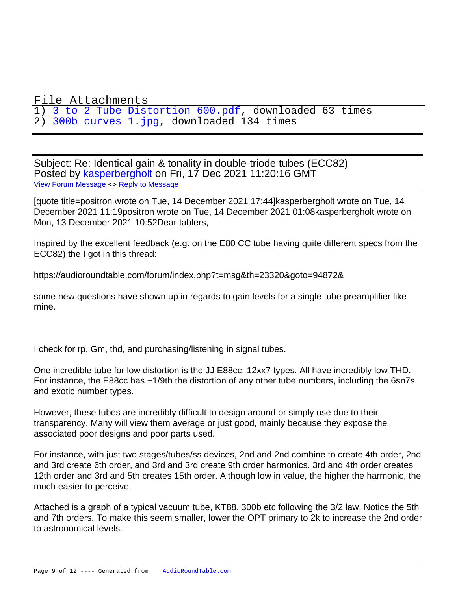## File Attachments

1) [3 to 2 Tube Distortion 600.pdf,](https://audioroundtable.com/forum/index.php?t=getfile&id=2919) downloaded 63 times 2) [300b curves 1.jpg](https://audioroundtable.com/forum/index.php?t=getfile&id=2920), downloaded 134 times

Subject: Re: Identical gain & tonality in double-triode tubes (ECC82) Posted by [kasperbergholt](https://audioroundtable.com/forum/index.php?t=usrinfo&id=8961) on Fri, 17 Dec 2021 11:20:16 GMT [View Forum Message](https://audioroundtable.com/forum/index.php?t=rview&th=23327&goto=94938#msg_94938) <> [Reply to Message](https://audioroundtable.com/forum/index.php?t=post&reply_to=94938)

[quote title=positron wrote on Tue, 14 December 2021 17:44]kasperbergholt wrote on Tue, 14 December 2021 11:19positron wrote on Tue, 14 December 2021 01:08kasperbergholt wrote on Mon, 13 December 2021 10:52Dear tablers,

Inspired by the excellent feedback (e.g. on the E80 CC tube having quite different specs from the ECC82) the I got in this thread:

https://audioroundtable.com/forum/index.php?t=msg&th=23320&goto=94872&

some new questions have shown up in regards to gain levels for a single tube preamplifier like mine.

I check for rp, Gm, thd, and purchasing/listening in signal tubes.

One incredible tube for low distortion is the JJ E88cc, 12xx7 types. All have incredibly low THD. For instance, the E88cc has ~1/9th the distortion of any other tube numbers, including the 6sn7s and exotic number types.

However, these tubes are incredibly difficult to design around or simply use due to their transparency. Many will view them average or just good, mainly because they expose the associated poor designs and poor parts used.

For instance, with just two stages/tubes/ss devices, 2nd and 2nd combine to create 4th order, 2nd and 3rd create 6th order, and 3rd and 3rd create 9th order harmonics. 3rd and 4th order creates 12th order and 3rd and 5th creates 15th order. Although low in value, the higher the harmonic, the much easier to perceive.

Attached is a graph of a typical vacuum tube, KT88, 300b etc following the 3/2 law. Notice the 5th and 7th orders. To make this seem smaller, lower the OPT primary to 2k to increase the 2nd order to astronomical levels.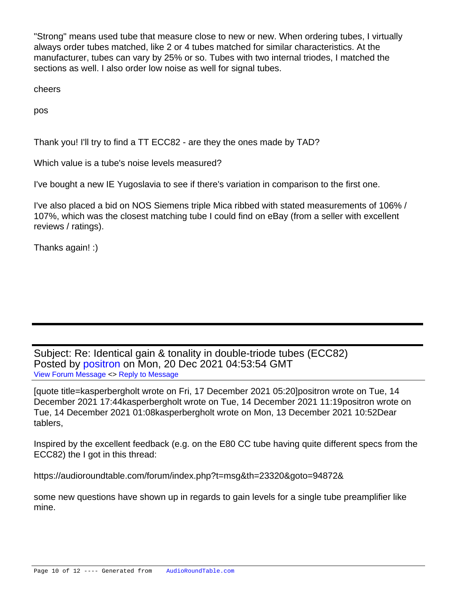"Strong" means used tube that measure close to new or new. When ordering tubes, I virtually always order tubes matched, like 2 or 4 tubes matched for similar characteristics. At the manufacturer, tubes can vary by 25% or so. Tubes with two internal triodes, I matched the sections as well. I also order low noise as well for signal tubes.

cheers

pos

Thank you! I'll try to find a TT ECC82 - are they the ones made by TAD?

Which value is a tube's noise levels measured?

I've bought a new IE Yugoslavia to see if there's variation in comparison to the first one.

I've also placed a bid on NOS Siemens triple Mica ribbed with stated measurements of 106% / 107%, which was the closest matching tube I could find on eBay (from a seller with excellent reviews / ratings).

Thanks again! :)

Subject: Re: Identical gain & tonality in double-triode tubes (ECC82) Posted by [positron](https://audioroundtable.com/forum/index.php?t=usrinfo&id=8732) on Mon, 20 Dec 2021 04:53:54 GMT [View Forum Message](https://audioroundtable.com/forum/index.php?t=rview&th=23327&goto=94973#msg_94973) <> [Reply to Message](https://audioroundtable.com/forum/index.php?t=post&reply_to=94973)

[quote title=kasperbergholt wrote on Fri, 17 December 2021 05:20]positron wrote on Tue, 14 December 2021 17:44kasperbergholt wrote on Tue, 14 December 2021 11:19positron wrote on Tue, 14 December 2021 01:08kasperbergholt wrote on Mon, 13 December 2021 10:52Dear tablers,

Inspired by the excellent feedback (e.g. on the E80 CC tube having quite different specs from the ECC82) the I got in this thread:

https://audioroundtable.com/forum/index.php?t=msg&th=23320&goto=94872&

some new questions have shown up in regards to gain levels for a single tube preamplifier like mine.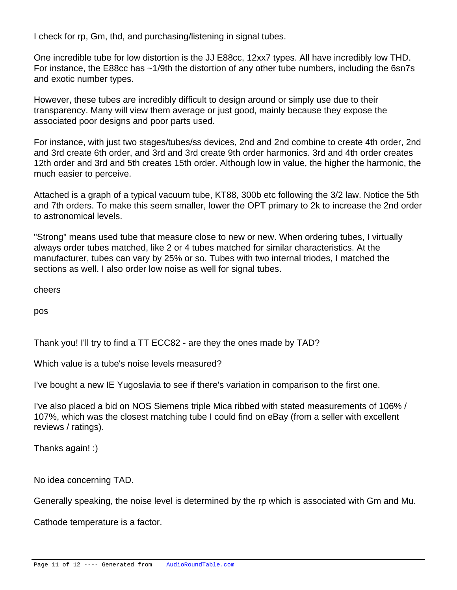I check for rp, Gm, thd, and purchasing/listening in signal tubes.

One incredible tube for low distortion is the JJ E88cc, 12xx7 types. All have incredibly low THD. For instance, the E88cc has ~1/9th the distortion of any other tube numbers, including the 6sn7s and exotic number types.

However, these tubes are incredibly difficult to design around or simply use due to their transparency. Many will view them average or just good, mainly because they expose the associated poor designs and poor parts used.

For instance, with just two stages/tubes/ss devices, 2nd and 2nd combine to create 4th order, 2nd and 3rd create 6th order, and 3rd and 3rd create 9th order harmonics. 3rd and 4th order creates 12th order and 3rd and 5th creates 15th order. Although low in value, the higher the harmonic, the much easier to perceive.

Attached is a graph of a typical vacuum tube, KT88, 300b etc following the 3/2 law. Notice the 5th and 7th orders. To make this seem smaller, lower the OPT primary to 2k to increase the 2nd order to astronomical levels.

"Strong" means used tube that measure close to new or new. When ordering tubes, I virtually always order tubes matched, like 2 or 4 tubes matched for similar characteristics. At the manufacturer, tubes can vary by 25% or so. Tubes with two internal triodes, I matched the sections as well. I also order low noise as well for signal tubes.

cheers

pos

Thank you! I'll try to find a TT ECC82 - are they the ones made by TAD?

Which value is a tube's noise levels measured?

I've bought a new IE Yugoslavia to see if there's variation in comparison to the first one.

I've also placed a bid on NOS Siemens triple Mica ribbed with stated measurements of 106% / 107%, which was the closest matching tube I could find on eBay (from a seller with excellent reviews / ratings).

Thanks again! :)

No idea concerning TAD.

Generally speaking, the noise level is determined by the rp which is associated with Gm and Mu.

Cathode temperature is a factor.